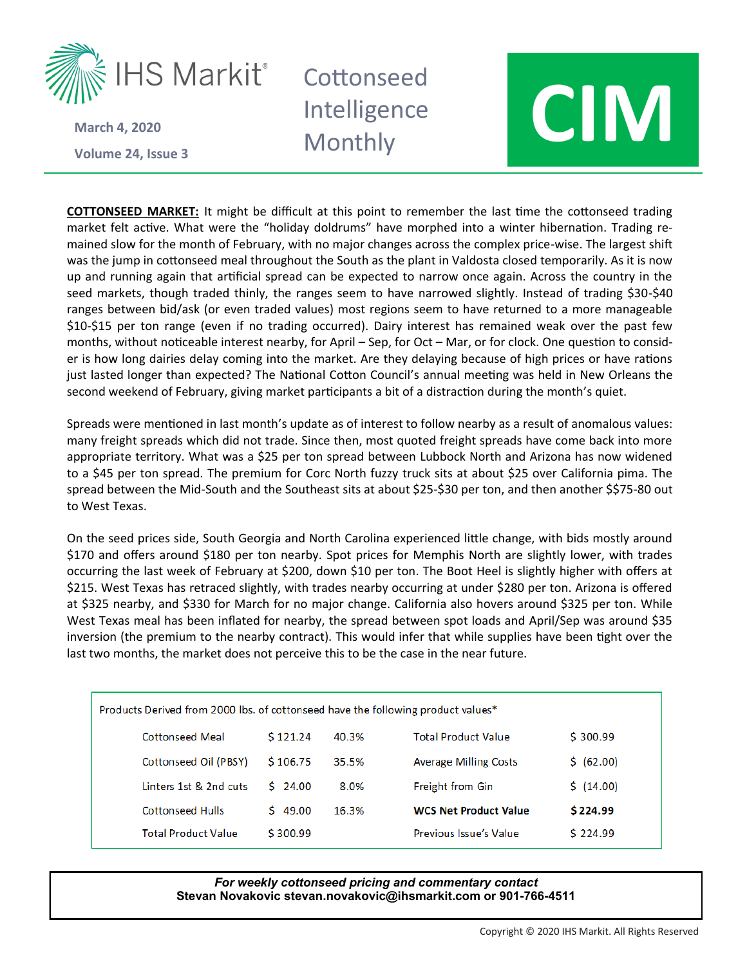

**Volume 24 March 4, 2020**

## Intelligence



**COTTONSEED MARKET:** It might be difficult at this point to remember the last time the cottonseed trading market felt active. What were the "holiday doldrums" have morphed into a winter hibernation. Trading remained slow for the month of February, with no major changes across the complex price-wise. The largest shift was the jump in cottonseed meal throughout the South as the plant in Valdosta closed temporarily. As it is now up and running again that artificial spread can be expected to narrow once again. Across the country in the seed markets, though traded thinly, the ranges seem to have narrowed slightly. Instead of trading \$30-\$40 ranges between bid/ask (or even traded values) most regions seem to have returned to a more manageable \$10-\$15 per ton range (even if no trading occurred). Dairy interest has remained weak over the past few months, without noticeable interest nearby, for April – Sep, for Oct – Mar, or for clock. One question to consider is how long dairies delay coming into the market. Are they delaying because of high prices or have rations just lasted longer than expected? The National Cotton Council's annual meeting was held in New Orleans the second weekend of February, giving market participants a bit of a distraction during the month's quiet.

Spreads were mentioned in last month's update as of interest to follow nearby as a result of anomalous values: many freight spreads which did not trade. Since then, most quoted freight spreads have come back into more appropriate territory. What was a \$25 per ton spread between Lubbock North and Arizona has now widened to a \$45 per ton spread. The premium for Corc North fuzzy truck sits at about \$25 over California pima. The spread between the Mid-South and the Southeast sits at about \$25-\$30 per ton, and then another \$\$75-80 out to West Texas.

On the seed prices side, South Georgia and North Carolina experienced little change, with bids mostly around \$170 and offers around \$180 per ton nearby. Spot prices for Memphis North are slightly lower, with trades occurring the last week of February at \$200, down \$10 per ton. The Boot Heel is slightly higher with offers at \$215. West Texas has retraced slightly, with trades nearby occurring at under \$280 per ton. Arizona is offered at \$325 nearby, and \$330 for March for no major change. California also hovers around \$325 per ton. While West Texas meal has been inflated for nearby, the spread between spot loads and April/Sep was around \$35 inversion (the premium to the nearby contract). This would infer that while supplies have been tight over the last two months, the market does not perceive this to be the case in the near future.

| Products Derived from 2000 lbs. of cottonseed have the following product values* |              |       |                              |            |  |  |  |
|----------------------------------------------------------------------------------|--------------|-------|------------------------------|------------|--|--|--|
| <b>Cottonseed Meal</b>                                                           | \$121.24     | 40.3% | <b>Total Product Value</b>   | \$300.99   |  |  |  |
| Cottonseed Oil (PBSY)                                                            | \$106.75     | 35.5% | <b>Average Milling Costs</b> | \$ (62.00) |  |  |  |
| Linters 1st & 2nd cuts                                                           | 5, 24.00     | 8.0%  | <b>Freight from Gin</b>      | \$(14.00)  |  |  |  |
| <b>Cottonseed Hulls</b>                                                          | \$.<br>49.00 | 16.3% | <b>WCS Net Product Value</b> | \$224.99   |  |  |  |
| <b>Total Product Value</b>                                                       | \$300.99     |       | Previous Issue's Value       | \$224.99   |  |  |  |

## *For weekly cottonseed pricing and commentary contact* **Stevan Novakovic stevan.novakovic@ihsmarkit.com or 901-766-4511**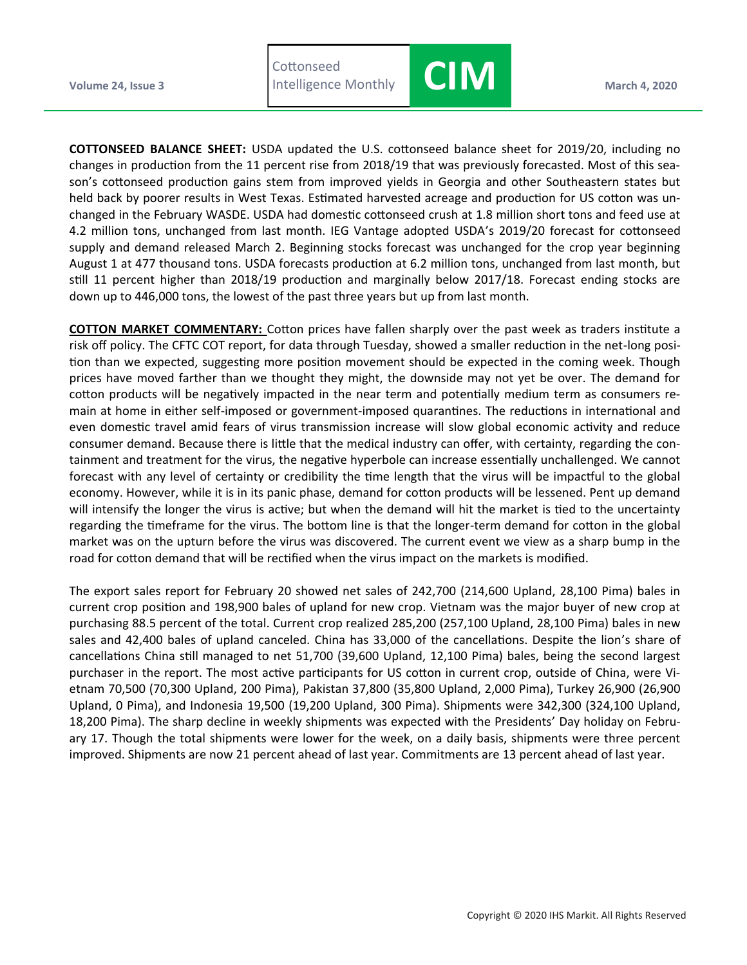



**COTTONSEED BALANCE SHEET:** USDA updated the U.S. cottonseed balance sheet for 2019/20, including no changes in production from the 11 percent rise from 2018/19 that was previously forecasted. Most of this season's cottonseed production gains stem from improved yields in Georgia and other Southeastern states but held back by poorer results in West Texas. Estimated harvested acreage and production for US cotton was unchanged in the February WASDE. USDA had domestic cottonseed crush at 1.8 million short tons and feed use at 4.2 million tons, unchanged from last month. IEG Vantage adopted USDA's 2019/20 forecast for cottonseed supply and demand released March 2. Beginning stocks forecast was unchanged for the crop year beginning August 1 at 477 thousand tons. USDA forecasts production at 6.2 million tons, unchanged from last month, but still 11 percent higher than 2018/19 production and marginally below 2017/18. Forecast ending stocks are down up to 446,000 tons, the lowest of the past three years but up from last month.

**COTTON MARKET COMMENTARY:** Cotton prices have fallen sharply over the past week as traders institute a risk off policy. The CFTC COT report, for data through Tuesday, showed a smaller reduction in the net-long position than we expected, suggesting more position movement should be expected in the coming week. Though prices have moved farther than we thought they might, the downside may not yet be over. The demand for cotton products will be negatively impacted in the near term and potentially medium term as consumers remain at home in either self-imposed or government-imposed quarantines. The reductions in international and even domestic travel amid fears of virus transmission increase will slow global economic activity and reduce consumer demand. Because there is little that the medical industry can offer, with certainty, regarding the containment and treatment for the virus, the negative hyperbole can increase essentially unchallenged. We cannot forecast with any level of certainty or credibility the time length that the virus will be impactful to the global economy. However, while it is in its panic phase, demand for cotton products will be lessened. Pent up demand will intensify the longer the virus is active; but when the demand will hit the market is tied to the uncertainty regarding the timeframe for the virus. The bottom line is that the longer-term demand for cotton in the global market was on the upturn before the virus was discovered. The current event we view as a sharp bump in the road for cotton demand that will be rectified when the virus impact on the markets is modified.

The export sales report for February 20 showed net sales of 242,700 (214,600 Upland, 28,100 Pima) bales in current crop position and 198,900 bales of upland for new crop. Vietnam was the major buyer of new crop at purchasing 88.5 percent of the total. Current crop realized 285,200 (257,100 Upland, 28,100 Pima) bales in new sales and 42,400 bales of upland canceled. China has 33,000 of the cancellations. Despite the lion's share of cancellations China still managed to net 51,700 (39,600 Upland, 12,100 Pima) bales, being the second largest purchaser in the report. The most active participants for US cotton in current crop, outside of China, were Vietnam 70,500 (70,300 Upland, 200 Pima), Pakistan 37,800 (35,800 Upland, 2,000 Pima), Turkey 26,900 (26,900 Upland, 0 Pima), and Indonesia 19,500 (19,200 Upland, 300 Pima). Shipments were 342,300 (324,100 Upland, 18,200 Pima). The sharp decline in weekly shipments was expected with the Presidents' Day holiday on February 17. Though the total shipments were lower for the week, on a daily basis, shipments were three percent improved. Shipments are now 21 percent ahead of last year. Commitments are 13 percent ahead of last year.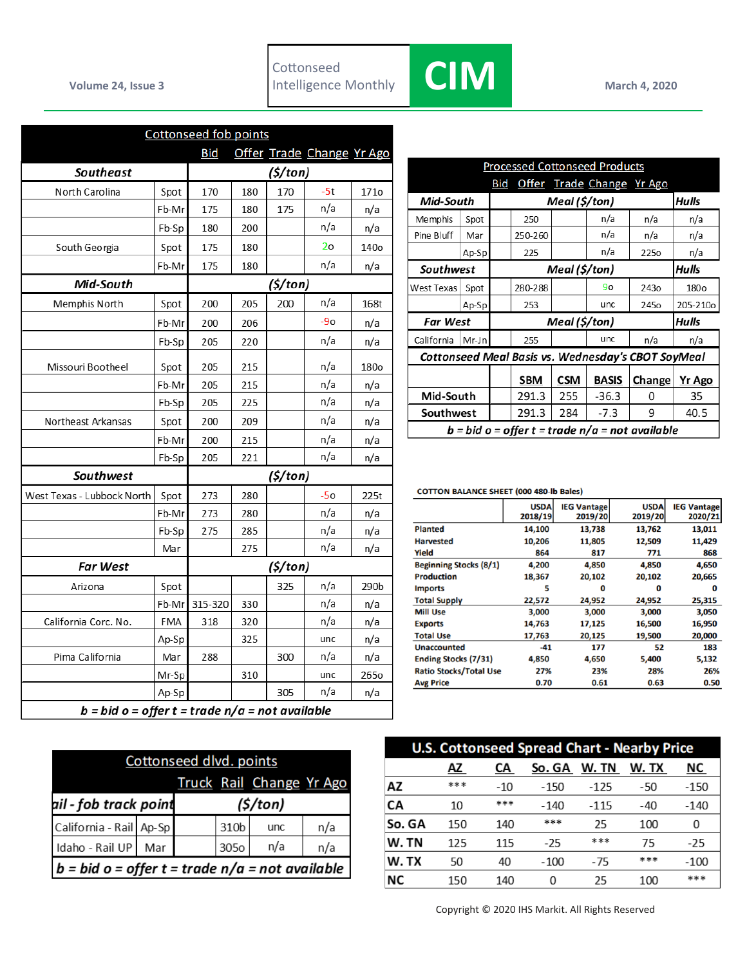

|                                                   |            | <b>Cottonseed fob points</b> |     |          |                           |      |
|---------------------------------------------------|------------|------------------------------|-----|----------|---------------------------|------|
|                                                   |            | <b>Bid</b>                   |     |          | Offer Trade Change Yr Ago |      |
| <b>Southeast</b>                                  | (\$/ton)   |                              |     |          |                           |      |
| North Carolina                                    | Spot       | 170                          | 180 | 170      | $-5t$                     | 171o |
|                                                   | Fb-Mr      | 175                          | 180 | 175      | n/a                       | n/a  |
|                                                   | Fb-Sp      | 180                          | 200 |          | n/a                       | n/a  |
| South Georgia                                     | Spot       | 175                          | 180 |          | 2 <sub>o</sub>            | 140o |
|                                                   | Fb-Mr      | 175                          | 180 |          | n/a                       | n/a  |
| Mid-South                                         |            |                              |     | (5/ton)  |                           |      |
| Memphis North                                     | Spot       | 200                          | 205 | 200      | n/a                       | 168t |
|                                                   | Fb-Mr      | 200                          | 206 |          | $-90$                     | n/a  |
|                                                   | Fb-Sp      | 205                          | 220 |          | n/a                       | n/a  |
| Missouri Bootheel                                 | Spot       | 205                          | 215 |          | n/a                       | 180o |
|                                                   | Fb-Mr      | 205                          | 215 |          | n/a                       | n/a  |
|                                                   | Fb-Sp      | 205                          | 225 |          | n/a                       | n/a  |
| Northeast Arkansas                                | Spot       | 200                          | 209 |          | n/a                       | n/a  |
|                                                   | Fb-Mr      | 200                          | 215 |          | n/a                       | n/a  |
|                                                   | Fb-Sp      | 205                          | 221 |          | n/a                       | n/a  |
| Southwest                                         |            |                              |     | (\$/ton) |                           |      |
| West Texas - Lubbock North                        | Spot       | 273                          | 280 |          | $-50$                     | 225t |
|                                                   | Fb-Mr      | 273                          | 280 |          | n/a                       | n/a  |
|                                                   | Fb-Sp      | 275                          | 285 |          | n/a                       | n/a  |
|                                                   | Mar        |                              | 275 |          | n/a                       | n/a  |
| <b>Far West</b>                                   |            |                              |     | (5/ton)  |                           |      |
| Arizona                                           | Spot       |                              |     | 325      | n/a                       | 290b |
|                                                   | Fb-Mr      | 315-320                      | 330 |          | n/a                       | n/a  |
| California Corc. No.                              | <b>FMA</b> | 318                          | 320 |          | n/a                       | n/a  |
|                                                   | Ap-Sp      |                              | 325 |          | unc                       | n/a  |
| Pima California                                   | Mar        | 288                          |     | 300      | n/a                       | n/a  |
|                                                   | Mr-Sp      |                              | 310 |          | unc                       | 265o |
|                                                   | Ap-Sp      |                              |     | 305      | n/a                       | n/a  |
| $b = bid o = offer t = trade n/a = not available$ |            |                              |     |          |                           |      |

| Cottonseed dlvd. points                           |         |  |                  |     |     |  |  |
|---------------------------------------------------|---------|--|------------------|-----|-----|--|--|
| Truck Rail Change Yr Ago                          |         |  |                  |     |     |  |  |
| ail - fob track point                             | (5/ton) |  |                  |     |     |  |  |
| California - Rail Ap-Sp                           |         |  | 310 <sub>b</sub> | unc | n/a |  |  |
| Idaho - Rail UP                                   | Mar     |  | 3050             | n/a | n/a |  |  |
| $b = bid o = offer t = trade n/a = not available$ |         |  |                  |     |     |  |  |

| <b>Processed Cottonseed Products</b>              |                                                    |       |               |               |                           |                  |                  |  |  |
|---------------------------------------------------|----------------------------------------------------|-------|---------------|---------------|---------------------------|------------------|------------------|--|--|
|                                                   |                                                    | Bid   |               |               | Offer Trade Change Yr Ago |                  |                  |  |  |
| Mid-South                                         |                                                    |       | Meal (\$/ton) |               |                           |                  |                  |  |  |
| Memphis                                           | Spot                                               |       | 250           |               | n/a                       | n/a              | n/a              |  |  |
| Pine Bluff                                        | Mar                                                |       | 250-260       |               | n/a                       | n/a              | n/a              |  |  |
|                                                   | Ap-Sp                                              |       | 225           |               | n/a                       | 225 <sub>o</sub> | n/a              |  |  |
| Southwest                                         |                                                    |       | Meal (\$/ton) |               |                           |                  |                  |  |  |
| West Texas                                        | Spot                                               |       | 280-288       |               | 90                        | 243 <sub>o</sub> | 180 <sub>o</sub> |  |  |
|                                                   | Ap-Sp                                              |       | 253           |               | unc.                      | 245o             | 205-210o         |  |  |
|                                                   | <b>Far West</b>                                    |       |               | Meal (\$/ton) |                           |                  |                  |  |  |
| California<br>Mr-Jn                               |                                                    |       | 255           |               | unc                       | n/a              | n/a              |  |  |
|                                                   | Cottonseed Meal Basis vs. Wednesday's CBOT SoyMeal |       |               |               |                           |                  |                  |  |  |
|                                                   |                                                    |       | <b>SBM</b>    | <b>CSM</b>    | <b>BASIS</b>              | Change           | Yr Ago           |  |  |
| Mid-South                                         |                                                    |       | 291.3         | 255           | $-36.3$                   | 0                | 35               |  |  |
| Southwest                                         |                                                    | 291.3 | 284           | $-7.3$        | 9                         | 40.5             |                  |  |  |
| $b = bid o = offer t = trade n/a = not available$ |                                                    |       |               |               |                           |                  |                  |  |  |

## **COTTON BALANCE SHEET (000 480-lb Bales)**

|                               | <b>USDA</b><br>2018/19 | <b>IEG Vantage</b><br>2019/20 | <b>USDA</b><br>2019/20 | <b>IEG Vantage</b><br>2020/21 |
|-------------------------------|------------------------|-------------------------------|------------------------|-------------------------------|
| <b>Planted</b>                | 14,100                 | 13,738                        | 13,762                 | 13,011                        |
| <b>Harvested</b>              | 10,206                 | 11,805                        | 12,509                 | 11,429                        |
| Yield                         | 864                    | 817                           | 771                    | 868                           |
| <b>Beginning Stocks (8/1)</b> | 4,200                  | 4,850                         | 4,850                  | 4,650                         |
| <b>Production</b>             | 18,367                 | 20,102                        | 20,102                 | 20,665                        |
| <b>Imports</b>                | 5                      | 0                             | O                      | O                             |
| <b>Total Supply</b>           | 22,572                 | 24,952                        | 24,952                 | 25,315                        |
| <b>Mill Use</b>               | 3,000                  | 3,000                         | 3,000                  | 3,050                         |
| <b>Exports</b>                | 14,763                 | 17,125                        | 16,500                 | 16,950                        |
| <b>Total Use</b>              | 17,763                 | 20,125                        | 19,500                 | 20,000                        |
| <b>Unaccounted</b>            | $-41$                  | 177                           | 52                     | 183                           |
| <b>Ending Stocks (7/31)</b>   | 4,850                  | 4,650                         | 5,400                  | 5,132                         |
| <b>Ratio Stocks/Total Use</b> | 27%                    | 23%                           | 28%                    | 26%                           |
| <b>Avg Price</b>              | 0.70                   | 0.61                          | 0.63                   | 0.50                          |

| <b>U.S. Cottonseed Spread Chart - Nearby Price</b> |     |       |        |        |       |        |  |
|----------------------------------------------------|-----|-------|--------|--------|-------|--------|--|
|                                                    | AZ  | СA    | So. GA | W. TN  | W. TX | ΝC     |  |
| ΑZ                                                 | *** | $-10$ | $-150$ | $-125$ | -50   | $-150$ |  |
| CA                                                 | 10  | ***   | $-140$ | $-115$ | $-40$ | $-140$ |  |
| So. GA                                             | 150 | 140   | ***    | 25     | 100   | 0      |  |
| W. TN                                              | 125 | 115   | $-25$  | ***    | 75    | $-25$  |  |
| W.TX                                               | 50  | 40    | $-100$ | -75    | ***   | $-100$ |  |
| ΝC                                                 | 150 | 140   | 0      | 25     | 100   | ***    |  |

Copyright © 2020 IHS Markit. All Rights Reserved